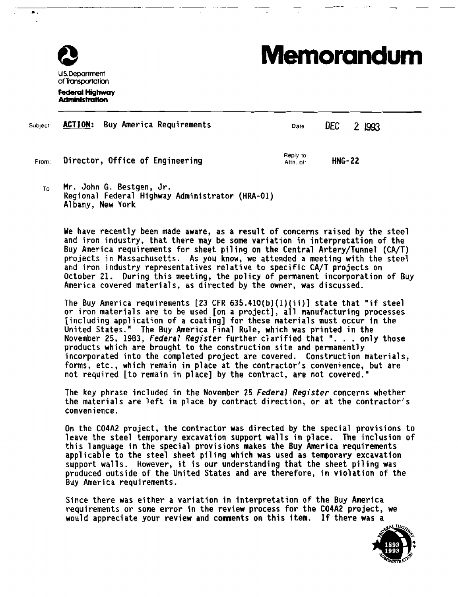

US, **Department**  of **Trcrnspwtatim** 

**Federal Highway** Administration

Subject **ACTION:** Buy America Requirements **Date DEC** 2 1993 **Reply to**  From: **Director, Off ice of Engineering Attn. 01. HNG-22** 

**TO Mr. John G. Bestgen, Jr. Regional Federal Highway Administrator (HRA-01) A1 bany, New York** 

**We have recently been made aware, as a result of concerns raised by the steel and iron industry, that there may be some variation in interpretation of the**  projects in Massachusetts. As you know, we attended a meeting with the steel **and iron i ndust ry representatives re1 at i ve to specific CA/T projects an October 21, During this meeting, the policy of permanent incorporation of Buy America covered materials, as directed by the owner, was discussed.** 

**The Buy America requirements [23 CFR 635.410(b)(l)(ii)] state that "if steel or iron material s are to be used [on a project], all manufacturing processes [including application of a coating] for these materials must occur in the United States." The Buy America Final Rule, which was printed in the November 25, 1983, Federa7** *Register* **further clarified that** ". . . **only those products which are brought to the construction site and permanently incorporated into the completed project are covered. Construction materials, forms, etc., which remain in place at the contractor's convenience, but are not required [to remain in place] by the contract, are not covered."** 

**The key phrase included in the November 25** *Federal* **Register concerns whether the materials are left in pl ace by contract direction, or at the contractor's conven i ence** .

**On the C04A2 project, the contractor was directed by the special provisions to 1 eave the steel temporary excavation support wall s in place. The inclusion of this language in the special provisions makes the Buy America requirements appl icable to the steel sheet pi1 ing which was used as temporary excavation support wall s. However, it is our understanding that the sheet pi1 ing was produced outside of the United States and are therefore, in violation of the Buy America requirements.** 

**Since there was either a variation in interpretation of the Buy America**  requirements or some error in the review process for the CO4A2 project, we<br>would appreciate your review and comments on this item. If there was a